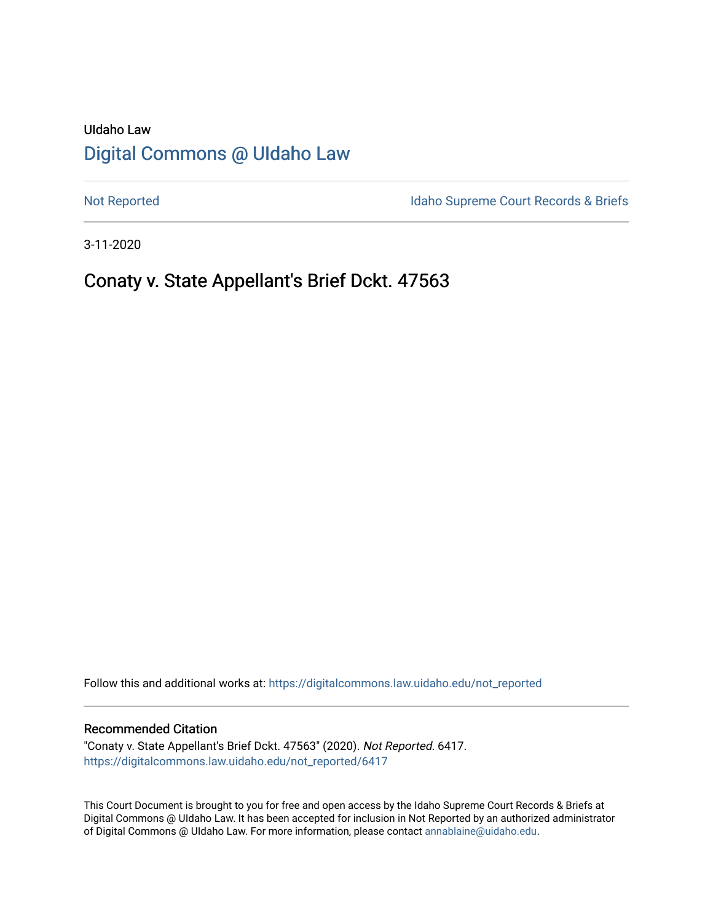# UIdaho Law [Digital Commons @ UIdaho Law](https://digitalcommons.law.uidaho.edu/)

[Not Reported](https://digitalcommons.law.uidaho.edu/not_reported) **Idaho Supreme Court Records & Briefs** 

3-11-2020

# Conaty v. State Appellant's Brief Dckt. 47563

Follow this and additional works at: [https://digitalcommons.law.uidaho.edu/not\\_reported](https://digitalcommons.law.uidaho.edu/not_reported?utm_source=digitalcommons.law.uidaho.edu%2Fnot_reported%2F6417&utm_medium=PDF&utm_campaign=PDFCoverPages) 

#### Recommended Citation

"Conaty v. State Appellant's Brief Dckt. 47563" (2020). Not Reported. 6417. [https://digitalcommons.law.uidaho.edu/not\\_reported/6417](https://digitalcommons.law.uidaho.edu/not_reported/6417?utm_source=digitalcommons.law.uidaho.edu%2Fnot_reported%2F6417&utm_medium=PDF&utm_campaign=PDFCoverPages)

This Court Document is brought to you for free and open access by the Idaho Supreme Court Records & Briefs at Digital Commons @ UIdaho Law. It has been accepted for inclusion in Not Reported by an authorized administrator of Digital Commons @ UIdaho Law. For more information, please contact [annablaine@uidaho.edu](mailto:annablaine@uidaho.edu).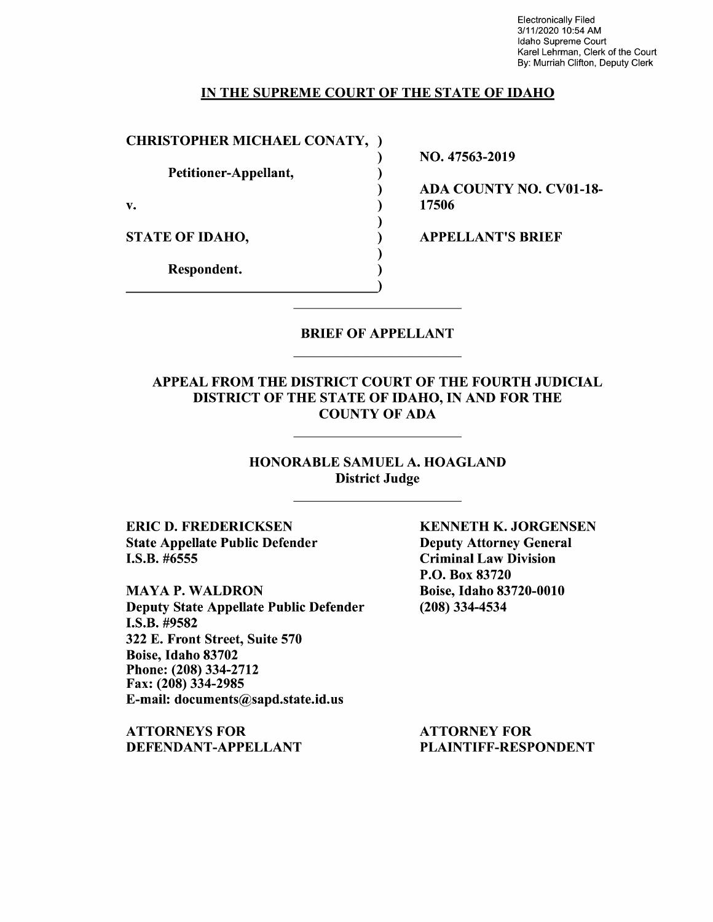Electronically Filed 3/11/2020 10:54 AM Idaho Supreme Court Karel Lehrman, Clerk of the Court By: Murriah Clifton, Deputy Clerk

### IN THE SUPREME COURT OF THE STATE OF IDAHO

)

)

)

)

CHRISTOPHER MICHAEL CONATY, )

Petitioner-Appellant, (1)

 $\mathbf{v.}$  )

STATE OF IDAHO,

Respondent. )

NO. 47563-2019

ADA COUNTY NO. CV0l-18- 17506

APPELLANT'S BRIEF

## BRIEF OF APPELLANT

### APPEAL FROM THE DISTRICT COURT OF THE FOURTH JUDICIAL DISTRICT OF THE STATE OF IDAHO, IN AND FOR THE COUNTY OF ADA

## HONORABLE SAMUEL A. HOAGLAND District Judge

ERIC D. FREDERICKSEN State Appellate Public Defender I.S.B. #6555

**MAYA P. WALDRON** Deputy State Appellate Public Defender I.S.B. #9582 322 E. Front Street, Suite 570 Boise, Idaho 83702 Phone:(208)334-2712 Fax: (208) 334-2985 E-mail: documents@sapd.state.id.us

**ATTORNEYS FOR DEFENDANT-APPELLANT**  **KENNETH K. JORGENSEN**  Deputy Attorney General Criminal Law Division P.O. Box 83720 Boise, Idaho 83720-0010 (208) 334-4534

ATTORNEY FOR PLAINTIFF-RESPONDENT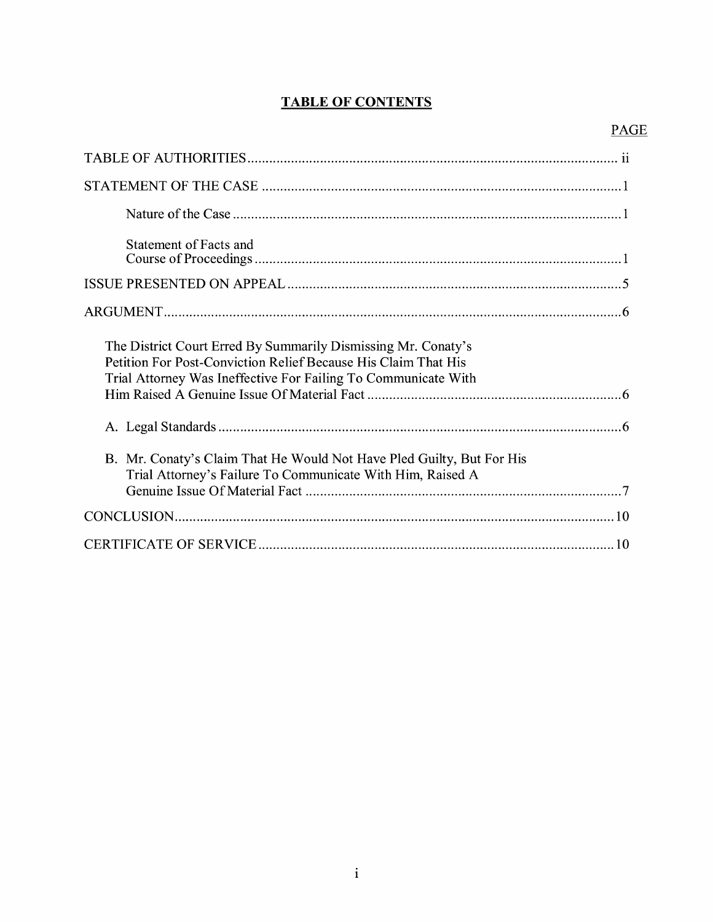## **TABLE OF CONTENTS**

## PAGE

| Statement of Facts and                                                                                                                                                                            |
|---------------------------------------------------------------------------------------------------------------------------------------------------------------------------------------------------|
|                                                                                                                                                                                                   |
|                                                                                                                                                                                                   |
| The District Court Erred By Summarily Dismissing Mr. Conaty's<br>Petition For Post-Conviction Relief Because His Claim That His<br>Trial Attorney Was Ineffective For Failing To Communicate With |
|                                                                                                                                                                                                   |
| B. Mr. Conaty's Claim That He Would Not Have Pled Guilty, But For His<br>Trial Attorney's Failure To Communicate With Him, Raised A                                                               |
|                                                                                                                                                                                                   |
|                                                                                                                                                                                                   |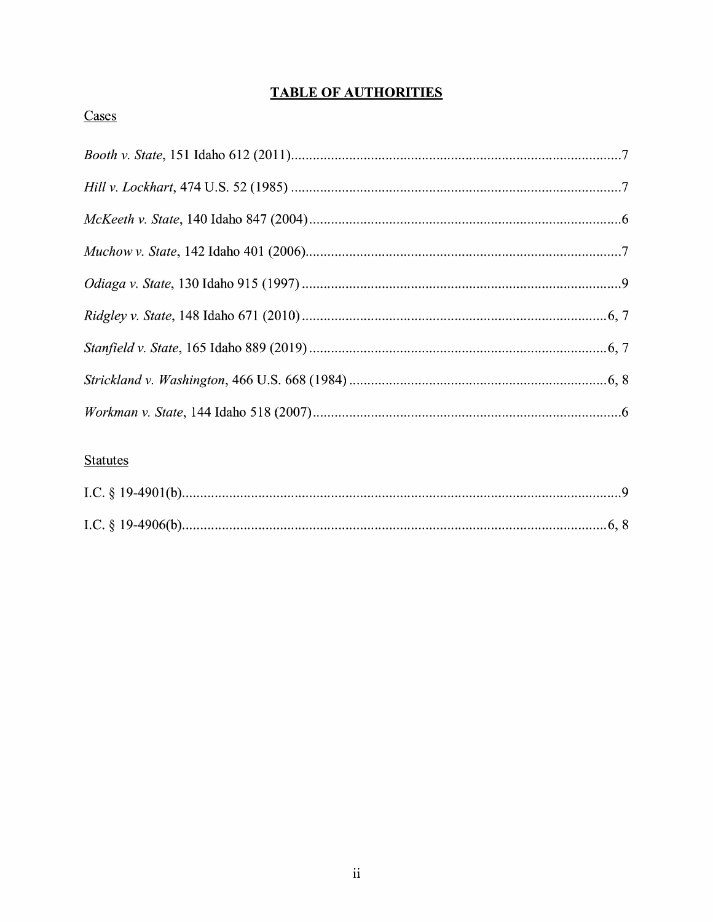## **TABLE OF AUTHORITIES**

## Cases

## **Statutes**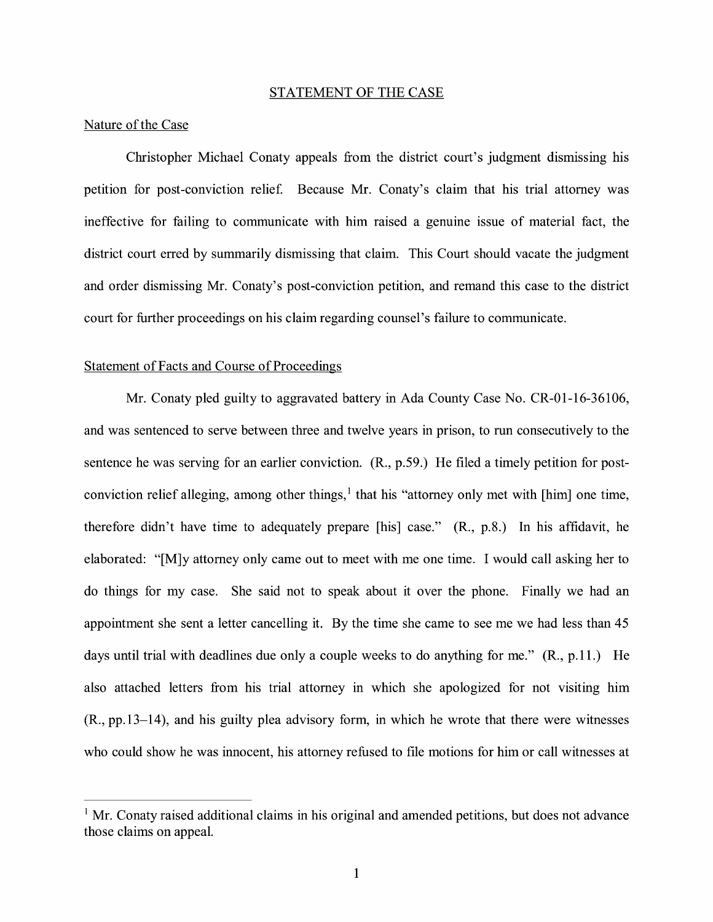#### STATEMENT OF THE CASE

### Nature of the Case

Christopher Michael Conaty appeals from the district court's judgment dismissing his petition for post-conviction relief. Because Mr. Conaty's claim that his trial attorney was ineffective for failing to communicate with him raised a genuine issue of material fact, the district court erred by summarily dismissing that claim. This Court should vacate the judgment and order dismissing Mr. Conaty's post-conviction petition, and remand this case to the district court for further proceedings on his claim regarding counsel's failure to communicate.

#### Statement of Facts and Course of Proceedings

Mr. Conaty pled guilty to aggravated battery in Ada County Case No. CR-01-16-36106, and was sentenced to serve between three and twelve years in prison, to run consecutively to the sentence he was serving for an earlier conviction. (R., p.59.) He filed a timely petition for postconviction relief alleging, among other things,  $\frac{1}{1}$  that his "attorney only met with [him] one time, therefore didn't have time to adequately prepare [his] case." (R., p.8.) In his affidavit, he elaborated: "[M]y attorney only came out to meet with me one time. I would call asking her to do things for my case. She said not to speak about it over the phone. Finally we had an appointment she sent a letter cancelling it. By the time she came to see me we had less than 45 days until trial with deadlines due only a couple weeks to do anything for me." (R., p.11.) He also attached letters from his trial attorney in which she apologized for not visiting him (R., pp.13-14), and his guilty plea advisory form, in which he wrote that there were witnesses who could show he was innocent, his attorney refused to file motions for him or call witnesses at

 $<sup>1</sup>$  Mr. Conaty raised additional claims in his original and amended petitions, but does not advance</sup> those claims on appeal.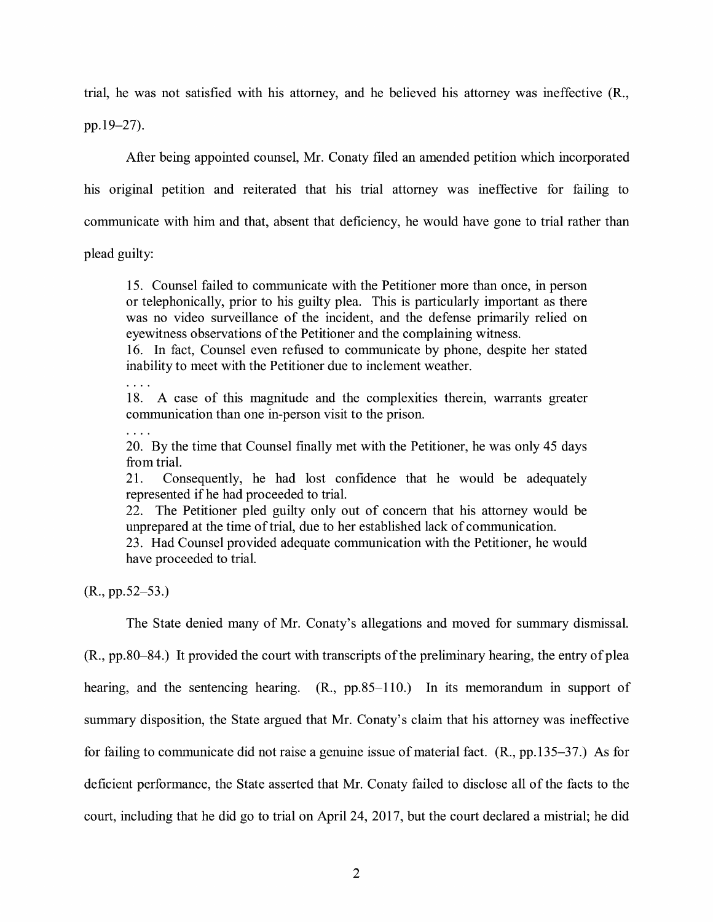trial, he was not satisfied with his attorney, and he believed his attorney was ineffective (R., pp.19-27).

After being appointed counsel, Mr. Conaty filed an amended petition which incorporated his original petition and reiterated that his trial attorney was ineffective for failing to communicate with him and that, absent that deficiency, he would have gone to trial rather than

plead guilty:

15. Counsel failed to communicate with the Petitioner more than once, in person or telephonically, prior to his guilty plea. This is particularly important as there was no video surveillance of the incident, and the defense primarily relied on eyewitness observations of the Petitioner and the complaining witness.

16. In fact, Counsel even refused to communicate by phone, despite her stated inability to meet with the Petitioner due to inclement weather.

 $\ldots$ 

18. A case of this magnitude and the complexities therein, warrants greater communication than one in-person visit to the prison.

20. By the time that Counsel fmally met with the Petitioner, he was only 45 days from trial.

21. Consequently, he had lost confidence that he would be adequately represented if he had proceeded to trial.

22. The Petitioner pled guilty only out of concern that his attorney would be unprepared at the time of trial, due to her established lack of communication.

23. Had Counsel provided adequate communication with the Petitioner, he would have proceeded to trial.

(R., pp.52-53.)

The State denied many of Mr. Conaty's allegations and moved for summary dismissal.

(R., pp.80-84.) It provided the court with transcripts of the preliminary hearing, the entry of plea hearing, and the sentencing hearing. (R., pp.85-110.) In its memorandum in support of summary disposition, the State argued that Mr. Conaty's claim that his attorney was ineffective for failing to communicate did not raise a genuine issue of material fact. (R., pp.135-37.) As for deficient performance, the State asserted that Mr. Conaty failed to disclose all of the facts to the court, including that he did go to trial on April 24, 2017, but the court declared a mistrial; he did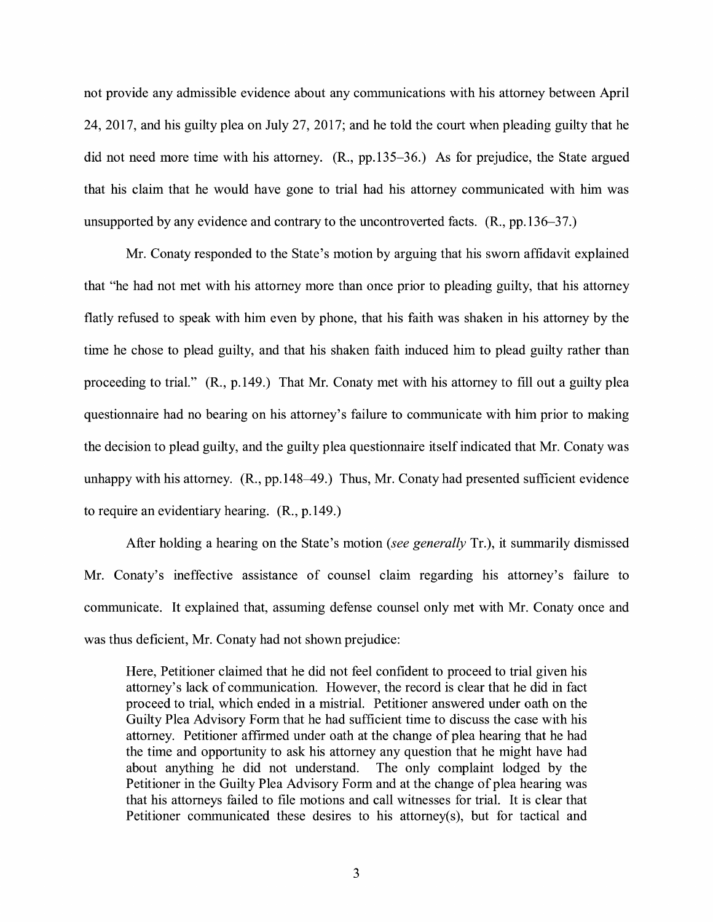not provide any admissible evidence about any communications with his attorney between April 24, 2017, and his guilty plea on July 27, 2017; and he told the court when pleading guilty that he did not need more time with his attorney. (R., pp.135-36.) As for prejudice, the State argued that his claim that he would have gone to trial had his attorney communicated with him was unsupported by any evidence and contrary to the uncontroverted facts. (R., pp.136-37.)

Mr. Conaty responded to the State's motion by arguing that his sworn affidavit explained that "he had not met with his attorney more than once prior to pleading guilty, that his attorney flatly refused to speak with him even by phone, that his faith was shaken in his attorney by the time he chose to plead guilty, and that his shaken faith induced him to plead guilty rather than proceeding to trial." (R., p.149.) That Mr. Conaty met with his attorney to fill out a guilty plea questionnaire had no bearing on his attorney's failure to communicate with him prior to making the decision to plead guilty, and the guilty plea questionnaire itself indicated that Mr. Conaty was unhappy with his attorney.  $(R., pp.148-49.)$  Thus, Mr. Conaty had presented sufficient evidence to require an evidentiary hearing. (R., p.149.)

After holding a hearing on the State's motion *(see generally* Tr.), it summarily dismissed Mr. Conaty's ineffective assistance of counsel claim regarding his attorney's failure to communicate. It explained that, assuming defense counsel only met with Mr. Conaty once and was thus deficient, Mr. Conaty had not shown prejudice:

Here, Petitioner claimed that he did not feel confident to proceed to trial given his attorney's lack of communication. However, the record is clear that he did in fact proceed to trial, which ended in a mistrial. Petitioner answered under oath on the Guilty Plea Advisory Form that he had sufficient time to discuss the case with his attorney. Petitioner affirmed under oath at the change of plea hearing that he had the time and opportunity to ask his attorney any question that he might have had about anything he did not understand. The only complaint lodged by the Petitioner in the Guilty Plea Advisory Form and at the change of plea hearing was that his attorneys failed to file motions and call witnesses for trial. It is clear that Petitioner communicated these desires to his attorney(s), but for tactical and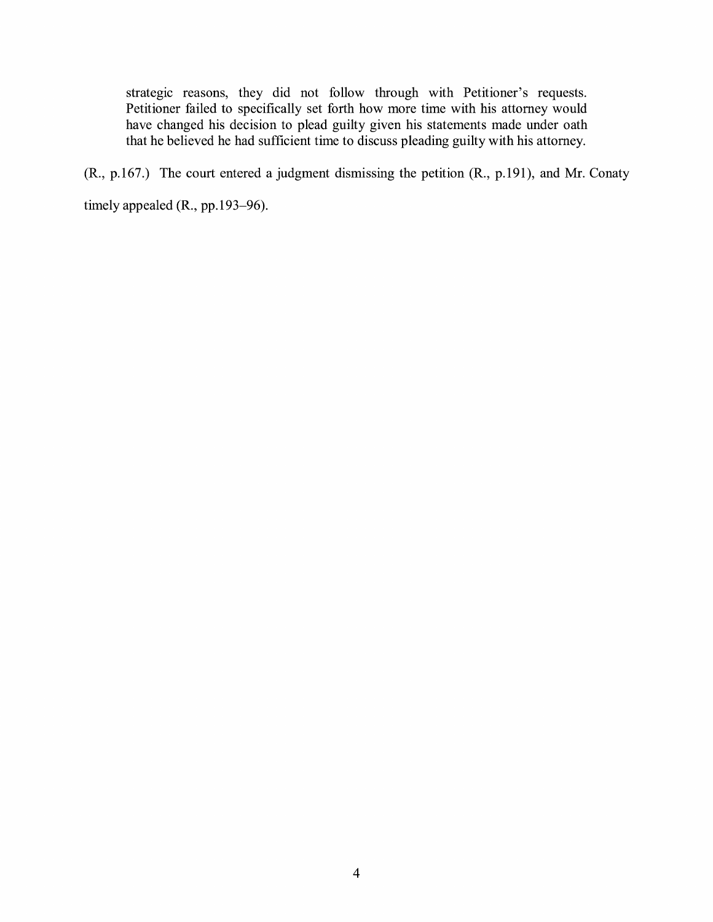strategic reasons, they did not follow through with Petitioner's requests. Petitioner failed to specifically set forth how more time with his attorney would have changed his decision to plead guilty given his statements made under oath that he believed he had sufficient time to discuss pleading guilty with his attorney.

(R., p.167.) The court entered a judgment dismissing the petition (R., p.191), and Mr. Conaty timely appealed (R., pp.193-96).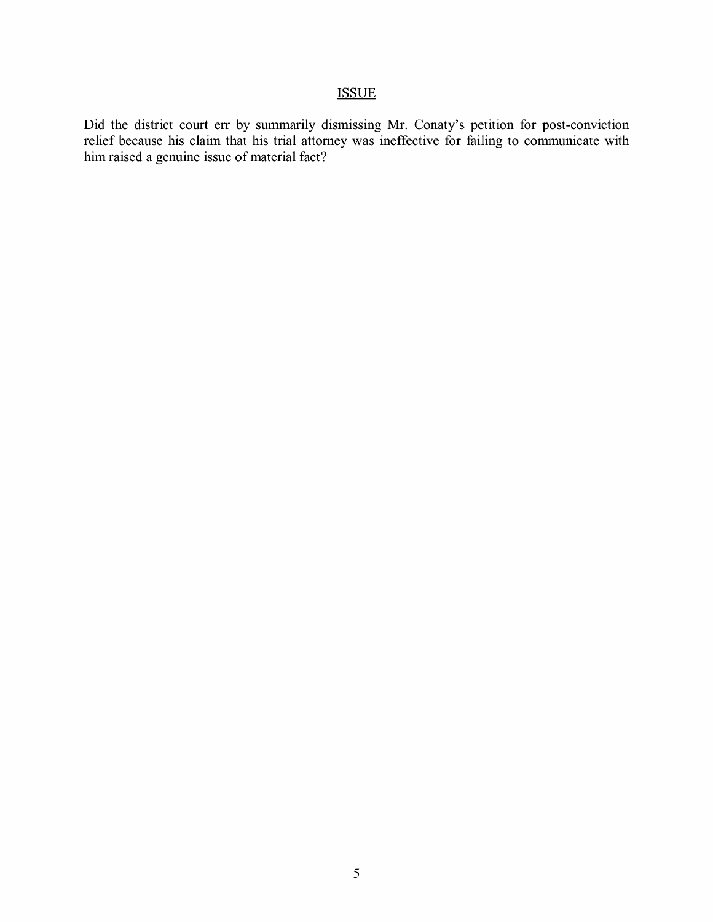## ISSUE

Did the district court err by summarily dismissing Mr. Conaty's petition for post-conviction relief because his claim that his trial attorney was ineffective for failing to communicate with him raised a genuine issue of material fact?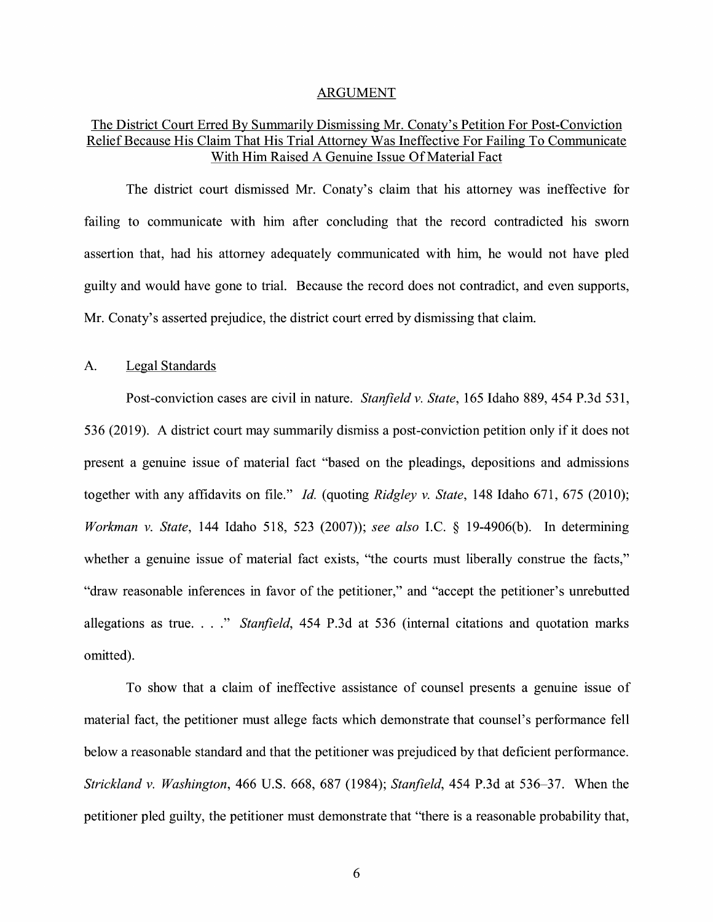#### ARGUMENT

## The District Court Erred By Summarily Dismissing Mr. Conaty's Petition For Post-Conviction Relief Because His Claim That His Trial Attorney Was Ineffective For Failing To Communicate With Him Raised A Genuine Issue Of Material Fact

The district court dismissed Mr. Conaty's claim that his attorney was ineffective for failing to communicate with him after concluding that the record contradicted his sworn assertion that, had his attorney adequately communicated with him, he would not have pled guilty and would have gone to trial. Because the record does not contradict, and even supports, Mr. Conaty's asserted prejudice, the district court erred by dismissing that claim.

#### A. Legal Standards

Post-conviction cases are civil in nature. *Stanfield v. State,* 165 Idaho 889, 454 P.3d 531, 536 (2019). A district court may summarily dismiss a post-conviction petition only if it does not present a genuine issue of material fact "based on the pleadings, depositions and admissions together with any affidavits on file." *Id.* (quoting *Ridgley v. State,* 148 Idaho 671, 675 (2010); *Workman v. State,* 144 Idaho 518, 523 (2007)); *see also* I.C. § 19-4906(b). In determining whether a genuine issue of material fact exists, "the courts must liberally construe the facts," "draw reasonable inferences in favor of the petitioner," and "accept the petitioner's unrebutted allegations as true. . . " *Stanfield*, 454 P.3d at 536 (internal citations and quotation marks omitted).

To show that a claim of ineffective assistance of counsel presents a genuine issue of material fact, the petitioner must allege facts which demonstrate that counsel's performance fell below a reasonable standard and that the petitioner was prejudiced by that deficient performance. *Strickland v. Washington,* 466 U.S. 668, 687 (1984); *Stanfield,* 454 P.3d at 536-37. When the petitioner pled guilty, the petitioner must demonstrate that "there is a reasonable probability that,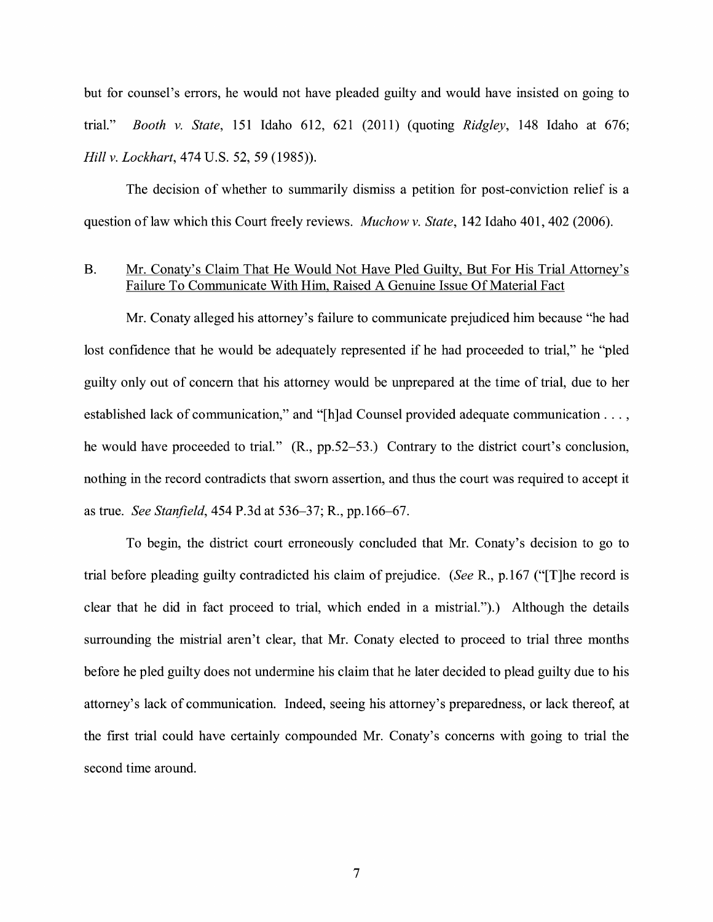but for counsel's errors, he would not have pleaded guilty and would have insisted on going to trial." *Booth v. State,* 151 Idaho 612, 621 (2011) (quoting *Ridgley,* 148 Idaho at 676; *Hill v. Lockhart,* 474 U.S. 52, 59 (1985)).

The decision of whether to summarily dismiss a petition for post-conviction relief is a question of law which this Court freely reviews. *Muchow v. State*, 142 Idaho 401, 402 (2006).

### B. Mr. Conaty's Claim That He Would Not Have Pled Guilty, But For His Trial Attorney's Failure To Communicate With Him, Raised A Genuine Issue Of Material Fact

Mr. Conaty alleged his attorney's failure to communicate prejudiced him because "he had lost confidence that he would be adequately represented if he had proceeded to trial," he "pled guilty only out of concern that his attorney would be unprepared at the time of trial, due to her established lack of communication," and "[h ]ad Counsel provided adequate communication ... , he would have proceeded to trial." (R., pp.52–53.) Contrary to the district court's conclusion, nothing in the record contradicts that sworn assertion, and thus the court was required to accept it as true. *See Stanfield,* 454 P.3d at 536-37; R., pp.166-67.

To begin, the district court erroneously concluded that Mr. Conaty's decision to go to trial before pleading guilty contradicted his claim of prejudice. *(See* R., p.167 ("[T]he record is clear that he did in fact proceed to trial, which ended in a mistrial.").) Although the details surrounding the mistrial aren't clear, that Mr. Conaty elected to proceed to trial three months before he pled guilty does not undermine his claim that he later decided to plead guilty due to his attorney's lack of communication. Indeed, seeing his attorney's preparedness, or lack thereof, at the first trial could have certainly compounded Mr. Conaty's concerns with going to trial the second time around.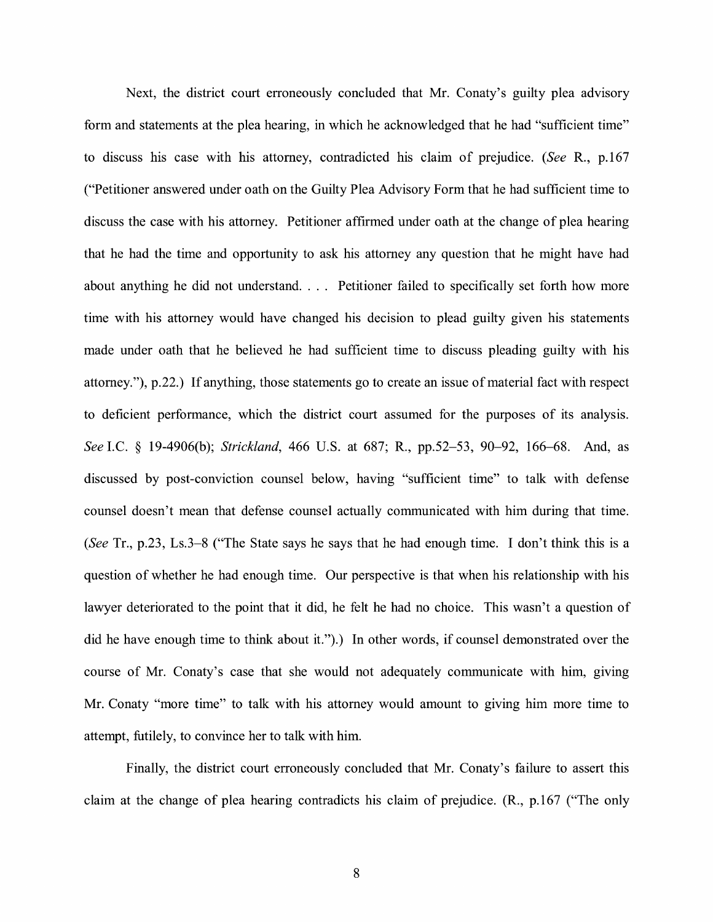Next, the district court erroneously concluded that Mr. Conaty's guilty plea advisory form and statements at the plea hearing, in which he acknowledged that he had "sufficient time" to discuss his case with his attorney, contradicted his claim of prejudice. *(See* R., p.167 ("Petitioner answered under oath on the Guilty Plea Advisory Form that he had sufficient time to discuss the case with his attorney. Petitioner affirmed under oath at the change of plea hearing that he had the time and opportunity to ask his attorney any question that he might have had about anything he did not understand. . . . Petitioner failed to specifically set forth how more time with his attorney would have changed his decision to plead guilty given his statements made under oath that he believed he had sufficient time to discuss pleading guilty with his attorney."), p.22.) If anything, those statements go to create an issue of material fact with respect to deficient performance, which the district court assumed for the purposes of its analysis. *See* LC. § 19-4906(b); *Strickland,* 466 U.S. at 687; R., pp.52-53, 90-92, 166-68. And, as discussed by post-conviction counsel below, having "sufficient time" to talk with defense counsel doesn't mean that defense counsel actually communicated with him during that time. *(See* Tr., p.23, Ls.3-8 ("The State says he says that he had enough time. I don't think this is a question of whether he had enough time. Our perspective is that when his relationship with his lawyer deteriorated to the point that it did, he felt he had no choice. This wasn't a question of did he have enough time to think about it.").) In other words, if counsel demonstrated over the course of Mr. Conaty's case that she would not adequately communicate with him, giving Mr. Conaty "more time" to talk with his attorney would amount to giving him more time to attempt, futilely, to convince her to talk with him.

Finally, the district court erroneously concluded that Mr. Conaty's failure to assert this claim at the change of plea hearing contradicts his claim of prejudice. **(R.,** p.167 ("The only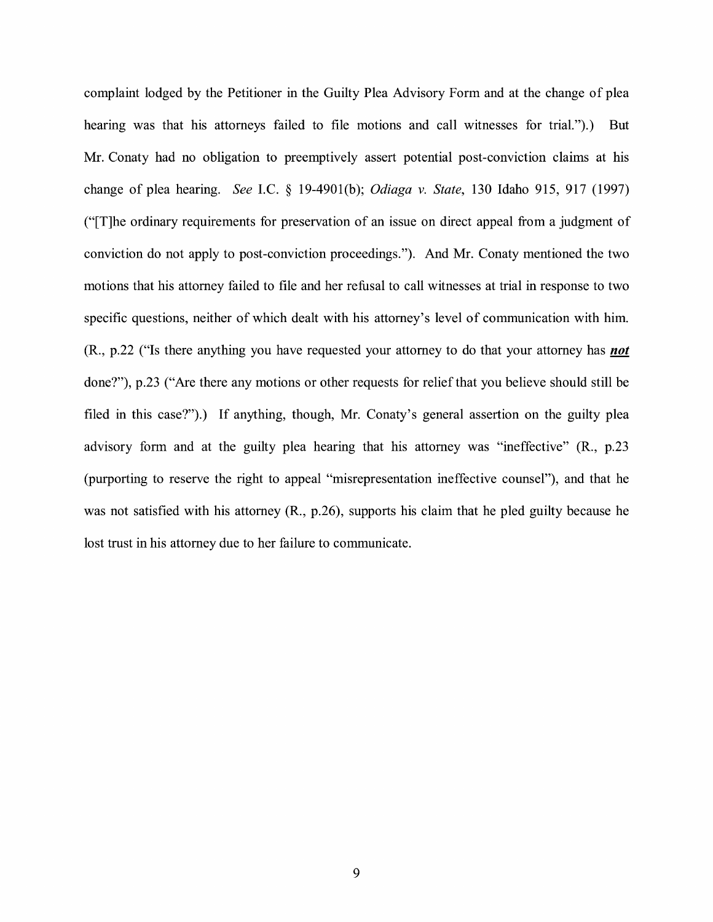complaint lodged by the Petitioner in the Guilty Plea Advisory Form and at the change of plea hearing was that his attorneys failed to file motions and call witnesses for trial.").) But Mr. Conaty had no obligation to preemptively assert potential post-conviction claims at his change of plea hearing. *See* LC. § 19-4901(b); *Odiaga v. State,* 130 Idaho 915, 917 (1997) ("[T]he ordinary requirements for preservation of an issue on direct appeal from a judgment of conviction do not apply to post-conviction proceedings."). And Mr. Conaty mentioned the two motions that his attorney failed to file and her refusal to call witnesses at trial in response to two specific questions, neither of which dealt with his attorney's level of communication with him. (R., p.22 ("Is there anything you have requested your attorney to do that your attorney has *not*  done?"), p.23 ("Are there any motions or other requests for relief that you believe should still be filed in this case?").) If anything, though, Mr. Conaty's general assertion on the guilty plea advisory form and at the guilty plea hearing that his attorney was "ineffective" **(R.,** p.23 (purporting to reserve the right to appeal "misrepresentation ineffective counsel"), and that he was not satisfied with his attorney **(R.,** p.26), supports his claim that he pied guilty because he lost trust in his attorney due to her failure to communicate.